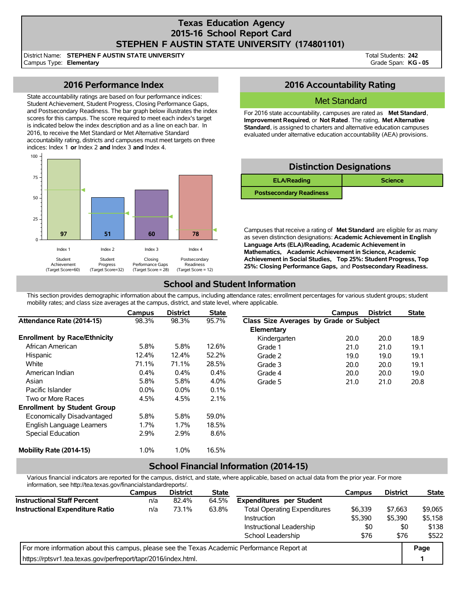## **Texas Education Agency 2015-16 School Report Card STEPHEN F AUSTIN STATE UNIVERSITY (174801101)**

District Name: Campus Type: **Elementary STEPHEN F AUSTIN STATE UNIVERSITY**

Total Students: **242** Grade Span: **KG - 05**

## **2016 Performance Index**

State accountability ratings are based on four performance indices: Student Achievement, Student Progress, Closing Performance Gaps, and Postsecondary Readiness. The bar graph below illustrates the index scores for this campus. The score required to meet each index's target is indicated below the index description and as a line on each bar. In 2016, to receive the Met Standard or Met Alternative Standard accountability rating, districts and campuses must meet targets on three indices: Index 1 **or** Index 2 **and** Index 3 **and** Index 4.



## **2016 Accountability Rating**

### Met Standard

For 2016 state accountability, campuses are rated as **Met Standard**, **Improvement Required**, or **Not Rated**. The rating, **Met Alternative Standard**, is assigned to charters and alternative education campuses evaluated under alternative education accountability (AEA) provisions.

| <b>Distinction Designations</b> |                |  |  |  |  |  |  |
|---------------------------------|----------------|--|--|--|--|--|--|
| <b>ELA/Reading</b>              | <b>Science</b> |  |  |  |  |  |  |
| <b>Postsecondary Readiness</b>  |                |  |  |  |  |  |  |

Campuses that receive a rating of **Met Standard** are eligible for as many as seven distinction designations: **Academic Achievement in English Language Arts (ELA)/Reading, Academic Achievement in Mathematics, Academic Achievement in Science, Academic Achievement in Social Studies, Top 25%: Student Progress, Top 25%: Closing Performance Gaps,** and **Postsecondary Readiness.**

# **School and Student Information**

This section provides demographic information about the campus, including attendance rates; enrollment percentages for various student groups; student mobility rates; and class size averages at the campus, district, and state level, where applicable.

|                                     | Campus  | <b>District</b> | <b>State</b> |                                         | Campus | <b>District</b> | <b>State</b> |
|-------------------------------------|---------|-----------------|--------------|-----------------------------------------|--------|-----------------|--------------|
| Attendance Rate (2014-15)           | 98.3%   | 98.3%           | 95.7%        | Class Size Averages by Grade or Subject |        |                 |              |
|                                     |         |                 |              | Elementary                              |        |                 |              |
| <b>Enrollment by Race/Ethnicity</b> |         |                 |              | Kindergarten                            | 20.0   | 20.0            | 18.9         |
| African American                    | 5.8%    | 5.8%            | 12.6%        | Grade 1                                 | 21.0   | 21.0            | 19.1         |
| Hispanic                            | 12.4%   | 12.4%           | 52.2%        | Grade 2                                 | 19.0   | 19.0            | 19.1         |
| White                               | 71.1%   | 71.1%           | 28.5%        | Grade 3                                 | 20.0   | 20.0            | 19.1         |
| American Indian                     | $0.4\%$ | 0.4%            | 0.4%         | Grade 4                                 | 20.0   | 20.0            | 19.0         |
| Asian                               | 5.8%    | 5.8%            | 4.0%         | Grade 5                                 | 21.0   | 21.0            | 20.8         |
| Pacific Islander                    | $0.0\%$ | $0.0\%$         | 0.1%         |                                         |        |                 |              |
| Two or More Races                   | 4.5%    | 4.5%            | 2.1%         |                                         |        |                 |              |
| <b>Enrollment by Student Group</b>  |         |                 |              |                                         |        |                 |              |
| Economically Disadvantaged          | 5.8%    | 5.8%            | 59.0%        |                                         |        |                 |              |
| English Language Learners           | $1.7\%$ | 1.7%            | 18.5%        |                                         |        |                 |              |
| Special Education                   | 2.9%    | 2.9%            | 8.6%         |                                         |        |                 |              |
| Mobility Rate (2014-15)             | 1.0%    | 1.0%            | 16.5%        |                                         |        |                 |              |

## **School Financial Information (2014-15)**

Various financial indicators are reported for the campus, district, and state, where applicable, based on actual data from the prior year. For more information, see http://tea.texas.gov/financialstandardreports/.

|                                                                                             | Campus | <b>District</b> | <b>State</b> |                                     | Campus  | <b>District</b> | <b>State</b> |
|---------------------------------------------------------------------------------------------|--------|-----------------|--------------|-------------------------------------|---------|-----------------|--------------|
| <b>Instructional Staff Percent</b>                                                          | n/a    | 82.4%           | 64.5%        | <b>Expenditures per Student</b>     |         |                 |              |
| Instructional Expenditure Ratio                                                             | n/a    | 73.1%           | 63.8%        | <b>Total Operating Expenditures</b> | \$6,339 | \$7.663         | \$9.065      |
|                                                                                             |        |                 |              | Instruction                         | \$5,390 | \$5,390         | \$5,158      |
|                                                                                             |        |                 |              | Instructional Leadership            | \$0     | \$0             | \$138        |
|                                                                                             |        |                 |              | School Leadership                   | \$76    | \$76            | \$522        |
| For more information about this campus, please see the Texas Academic Performance Report at |        |                 |              |                                     |         |                 |              |
| https://rptsvr1.tea.texas.gov/perfreport/tapr/2016/index.html.                              |        |                 |              |                                     |         |                 |              |